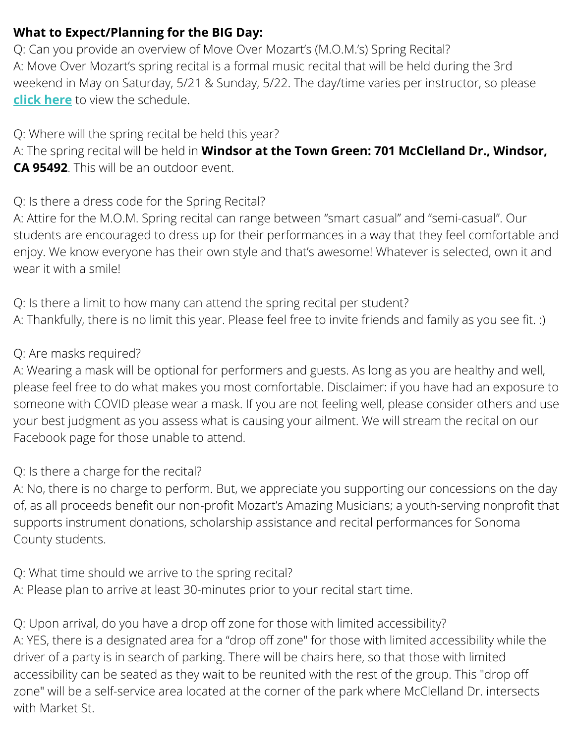### **What to Expect/Planning for the BIG Day:**

Q: Can you provide an overview of Move Over Mozart's (M.O.M.'s) Spring Recital? A: Move Over Mozart's spring recital is a formal music recital that will be held during the 3rd weekend in May on Saturday, 5/21 & Sunday, 5/22. The day/time varies per instructor, so please **click [here](https://www.mozartpianolearning.com/_files/ugd/a6558b_d89f8f59b45244cf84223b4731e76b8b.pdf)** to view the schedule.

Q: Where will the spring recital be held this year?

A: The spring recital will be held in **Windsor at the Town Green: 701 McClelland Dr., Windsor, CA 95492**. This will be an outdoor event.

Q: Is there a dress code for the Spring Recital?

A: Attire for the M.O.M. Spring recital can range between "smart casual" and "semi-casual". Our students are encouraged to dress up for their performances in a way that they feel comfortable and enjoy. We know everyone has their own style and that's awesome! Whatever is selected, own it and wear it with a smile!

Q: Is there a limit to how many can attend the spring recital per student? A: Thankfully, there is no limit this year. Please feel free to invite friends and family as you see fit. :)

#### Q: Are masks required?

A: Wearing a mask will be optional for performers and guests. As long as you are healthy and well, please feel free to do what makes you most comfortable. Disclaimer: if you have had an exposure to someone with COVID please wear a mask. If you are not feeling well, please consider others and use your best judgment as you assess what is causing your ailment. We will stream the recital on our Facebook page for those unable to attend.

### Q: Is there a charge for the recital?

A: No, there is no charge to perform. But, we appreciate you supporting our concessions on the day of, as all proceeds benefit our non-profit Mozart's Amazing Musicians; a youth-serving nonprofit that supports instrument donations, scholarship assistance and recital performances for Sonoma County students.

Q: What time should we arrive to the spring recital? A: Please plan to arrive at least 30-minutes prior to your recital start time.

Q: Upon arrival, do you have a drop off zone for those with limited accessibility? A: YES, there is a designated area for a "drop off zone" for those with limited accessibility while the driver of a party is in search of parking. There will be chairs here, so that those with limited accessibility can be seated as they wait to be reunited with the rest of the group. This "drop off zone" will be a self-service area located at the corner of the park where McClelland Dr. intersects with Market St.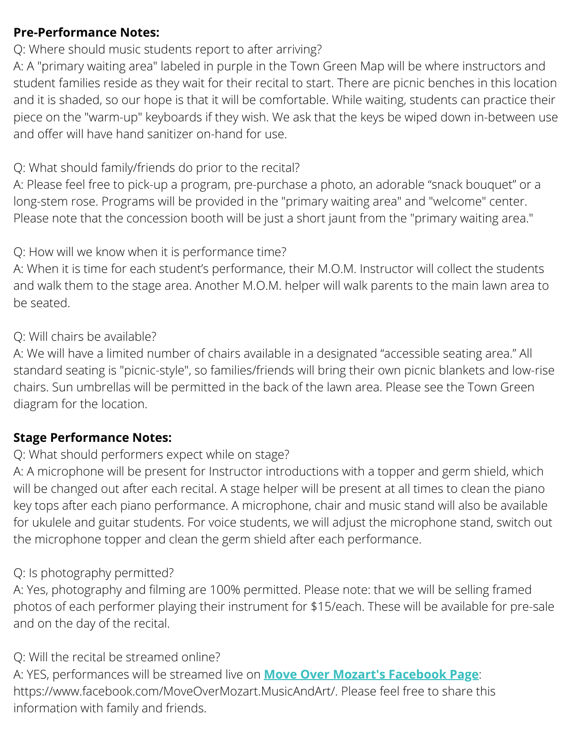### **Pre-Performance Notes:**

## Q: Where should music students report to after arriving?

A: A "primary waiting area" labeled in purple in the Town Green Map will be where instructors and student families reside as they wait for their recital to start. There are picnic benches in this location and it is shaded, so our hope is that it will be comfortable. While waiting, students can practice their piece on the "warm-up" keyboards if they wish. We ask that the keys be wiped down in-between use and offer will have hand sanitizer on-hand for use.

### Q: What should family/friends do prior to the recital?

A: Please feel free to pick-up a program, pre-purchase a photo, an adorable "snack bouquet" or a long-stem rose. Programs will be provided in the "primary waiting area" and "welcome" center. Please note that the concession booth will be just a short jaunt from the "primary waiting area."

#### Q: How will we know when it is performance time?

A: When it is time for each student's performance, their M.O.M. Instructor will collect the students and walk them to the stage area. Another M.O.M. helper will walk parents to the main lawn area to be seated.

#### Q: Will chairs be available?

A: We will have a limited number of chairs available in a designated "accessible seating area." All standard seating is "picnic-style", so families/friends will bring their own picnic blankets and low-rise chairs. Sun umbrellas will be permitted in the back of the lawn area. Please see the Town Green diagram for the location.

### **Stage Performance Notes:**

# Q: What should performers expect while on stage?

A: A microphone will be present for Instructor introductions with a topper and germ shield, which will be changed out after each recital. A stage helper will be present at all times to clean the piano key tops after each piano performance. A microphone, chair and music stand will also be available for ukulele and guitar students. For voice students, we will adjust the microphone stand, switch out the microphone topper and clean the germ shield after each performance.

# Q: Is photography permitted?

A: Yes, photography and filming are 100% permitted. Please note: that we will be selling framed photos of each performer playing their instrument for \$15/each. These will be available for pre-sale and on the day of the recital.

# Q: Will the recital be streamed online?

A: YES, performances will be streamed live on **Move Over Mozart's [Facebook](https://www.facebook.com/MoveOverMozart.MusicAndArt/) Page**: https://www.facebook.com/MoveOverMozart.MusicAndArt/. Please feel free to share this information with family and friends.